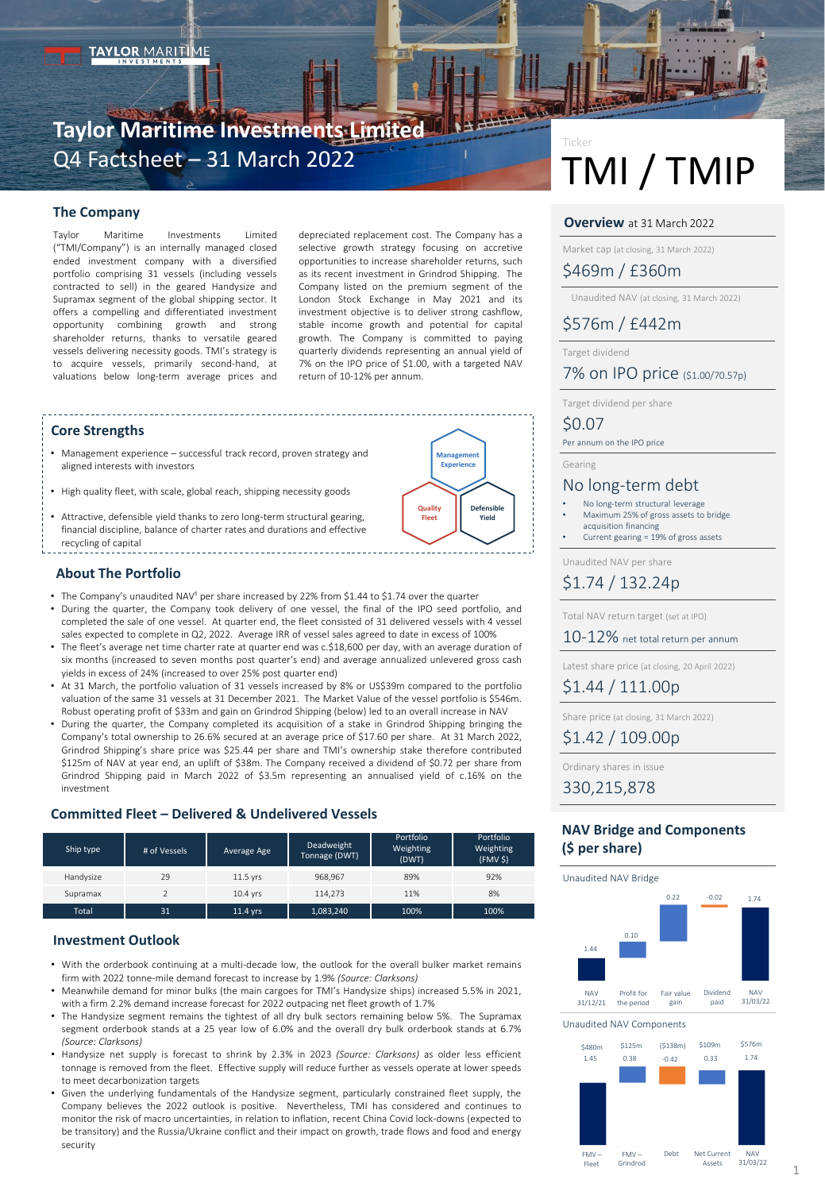# **Taylor Maritime Investments Limited** Q4 Factsheet – 31 March 2022

# **The Company**

Taylor Maritime Investments Limited ("TMI/Company") is an internally managed closed ended investment company with a diversified portfolio comprising 31 vessels (including vessels contracted to sell) in the geared Handysize and Supramax segment of the global shipping sector. It offers a compelling and differentiated investment opportunity combining growth and strong shareholder returns, thanks to versatile geared vessels delivering necessity goods. TMI's strategy is to acquire vessels, primarily second-hand, at valuations below long-term average prices and depreciated replacement cost. The Company has a selective growth strategy focusing on accretive opportunities to increase shareholder returns, such as its recent investment in Grindrod Shipping. The Company listed on the premium segment of the London Stock Exchange in May 2021 and its investment objective is to deliver strong cashflow, stable income growth and potential for capital growth. The Company is committed to paying quarterly dividends representing an annual yield of 7% on the IPO price of \$1.00, with a targeted NAV return of 10-12% per annum.

### **Core Strengths**

- Management experience successful track record, proven strategy and aligned interests with investors
- High quality fleet, with scale, global reach, shipping necessity goods
- Attractive, defensible yield thanks to zero long-term structural gearing, financial discipline, balance of charter rates and durations and effective recycling of capital

# **Management Experience Quality Fleet Defensible Yield**

# **About The Portfolio**

• The Company's unaudited NAV<sup>1</sup> per share increased by 22% from \$1.44 to \$1.74 over the quarter • During the quarter, the Company took delivery of one vessel, the final of the IPO seed portfolio, and completed the sale of one vessel. At quarter end, the fleet consisted of 31 delivered vessels with 4 vessel

- sales expected to complete in Q2, 2022. Average IRR of vessel sales agreed to date in excess of 100% • The fleet's average net time charter rate at quarter end was c.\$18,600 per day, with an average duration of six months (increased to seven months post quarter's end) and average annualized unlevered gross cash yields in excess of 24% (increased to over 25% post quarter end)
- At 31 March, the portfolio valuation of 31 vessels increased by 8% or US\$39m compared to the portfolio valuation of the same 31 vessels at 31 December 2021. The Market Value of the vessel portfolio is \$546m. Robust operating profit of \$33m and gain on Grindrod Shipping (below) led to an overall increase in NAV
- During the quarter, the Company completed its acquisition of a stake in Grindrod Shipping bringing the Company's total ownership to 26.6% secured at an average price of \$17.60 per share. At 31 March 2022, Grindrod Shipping's share price was \$25.44 per share and TMI's ownership stake therefore contributed \$125m of NAV at year end, an uplift of \$38m. The Company received a dividend of \$0.72 per share from Grindrod Shipping paid in March 2022 of \$3.5m representing an annualised yield of c.16% on the investment

## **Committed Fleet – Delivered & Undelivered Vessels**

| Ship type    | # of Vessels | Average Age | Deadweight<br>Tonnage (DWT) | Portfolio<br>Weighting<br>(DWT) | Portfolio<br>Weighting<br>(FMV <sub>S</sub> ) |
|--------------|--------------|-------------|-----------------------------|---------------------------------|-----------------------------------------------|
| Handysize    | 29           | 11.5 vrs    | 968.967                     | 89%                             | 92%                                           |
| Supramax     |              | $10.4$ vrs  | 114.273                     | 11%                             | 8%                                            |
| <b>Total</b> | 31           | 11.4 yrs    | 1,083,240                   | 100%                            | 100%                                          |

### **Investment Outlook**

- With the orderbook continuing at a multi-decade low, the outlook for the overall bulker market remains firm with 2022 tonne-mile demand forecast to increase by 1.9% *(Source: Clarksons)*
- Meanwhile demand for minor bulks (the main cargoes for TMI's Handysize ships) increased 5.5% in 2021, with a firm 2.2% demand increase forecast for 2022 outpacing net fleet growth of 1.7%
- The Handysize segment remains the tightest of all dry bulk sectors remaining below 5%. The Supramax segment orderbook stands at a 25 year low of 6.0% and the overall dry bulk orderbook stands at 6.7% *(Source: Clarksons)*
- Handysize net supply is forecast to shrink by 2.3% in 2023 *(Source: Clarksons)* as older less efficient tonnage is removed from the fleet. Effective supply will reduce further as vessels operate at lower speeds to meet decarbonization targets
- Given the underlying fundamentals of the Handysize segment, particularly constrained fleet supply, the Company believes the 2022 outlook is positive. Nevertheless, TMI has considered and continues to monitor the risk of macro uncertainties, in relation to inflation, recent China Covid lock-downs (expected to be transitory) and the Russia/Ukraine conflict and their impact on growth, trade flows and food and energy security

# TMI / TMIP Ticker

### **Overview** at 31 March 2022

Market cap (at closing, 31 March 2022)

\$469m / £360m

Unaudited NAV (at closing, 31 March 2022)

# \$576m / £442m

Target dividend

# 7% on IPO price (\$1.00/70.57p)

Target dividend per share

# \$0.07

Per annum on the IPO price

Gearing

# No long-term debt

- No long-term structural leverage • Maximum 25% of gross assets to bridge acquisition financing
- Current gearing = 19% of gross assets

Unaudited NAV per share

# \$1.74 / 132.24p

Total NAV return target (set at IPO)

10-12% net total return per annum

Latest share price (at closing, 20 April 2022)

\$1.44 / 111.00p

Share price (at closing, 31 March 2022)

\$1.42 / 109.00p

Ordinary shares in issue

330,215,878

# **NAV Bridge and Components (\$ per share)**

Unaudited NAV Bridge



Unaudited NAV Components